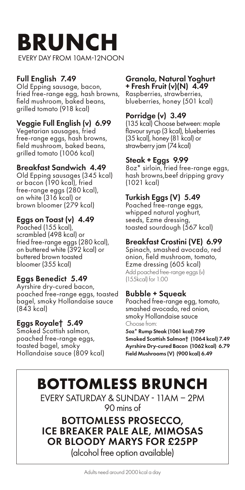## **BRUNCH**  EVERY DAY FROM 10AM-12NOON

## Full English 7.49

Old Epping sausage, bacon, fried free-range egg, hash browns, field mushroom, baked beans, grilled tomato (918 kcal)

#### Veggie Full English (v) 6.99

Vegetarian sausages, fried free-range eggs, hash browns, field mushroom, baked beans, grilled tomato (1006 kcal)

#### Breakfast Sandwich 4.49

Old Epping sausages (345 kcal) or bacon (190 kcal), fried free-range eggs (280 kcal), on white (316 kcal) or brown bloomer (279 kcal)

#### Eggs on Toast (v) 4.49

Poached (155 kcal), scrambled (498 kcal) or fried free-range eggs (280 kcal), on buttered white (392 kcal) or buttered brown toasted bloomer (355 kcal)

## Eggs Benedict 5.49

Ayrshire dry-cured bacon, poached free-range eggs, toasted bagel, smoky Hollandaise sauce (843 kcal)

#### Eggs Royale† 5.49

Smoked Scottish salmon, poached free-range eggs, toasted bagel, smoky Hollandaise sauce (809 kcal)

#### Granola, Natural Yoghurt + Fresh Fruit (v)(N) 4.49

Raspberries, strawberries, blueberries, honey (501 kcal)

## Porridge (v) 3.49

(135 kcal) Choose between: maple flavour syrup (3 kcal), blueberries (35 kcal), honey (81 kcal) or strawberry jam (74 kcal)

## Steak + Eggs 9.99

8oz\* sirloin, fried free-range eggs, hash browns,beef dripping gravy (1021 kcal)

## Turkish Eggs (V) 5.49

Poached free-range eggs, whipped natural yoghurt, seeds, Ezme dressing, toasted sourdough (567 kcal)

## Breakfast Crostini (VE) 6.99

Spinach, smashed avocado, red onion, field mushroom, tomato, Ezme dressing (605 kcal) Add poached free-range eggs (v) (155kcal) for 1.00

## Bubble + Squeak

Poached free-range egg, tomato, smashed avocado, red onion, smoky Hollandaise sauce Choose from:

5oz\* Rump Steak (1061 kcal) 7.99 Smoked Scottish Salmon† (1064 kcal) 7.49 Ayrshire Dry-cured Bacon (1062 kcal) 6.79 Field Mushrooms (V) (900 kcal) 6.49

# **BOTTOMLESS BRUNCH**

EVERY SATURDAY & SUNDAY - 11AM – 2PM 90 mins of

BOTTOMLESS PROSECCO, ICE BREAKER PALE ALE, MIMOSAS OR BLOODY MARYS FOR £25PP (alcohol free option available)